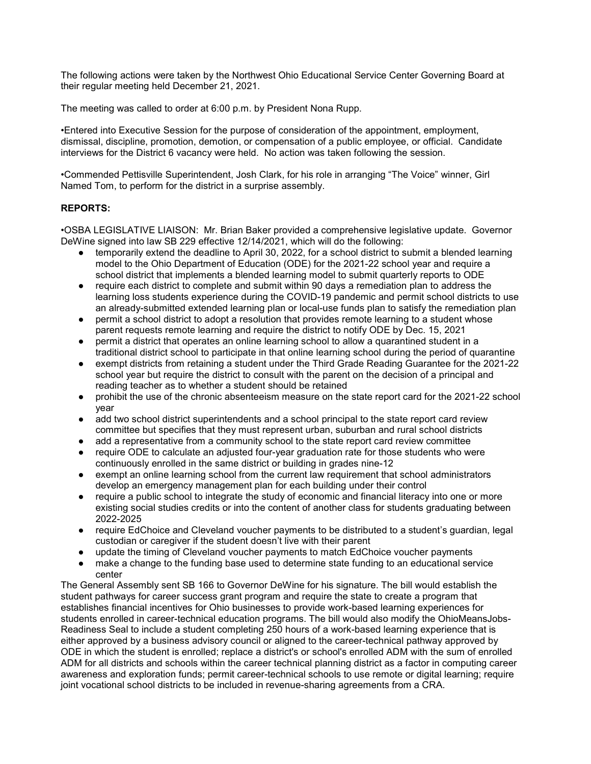The following actions were taken by the Northwest Ohio Educational Service Center Governing Board at their regular meeting held December 21, 2021.

The meeting was called to order at 6:00 p.m. by President Nona Rupp.

•Entered into Executive Session for the purpose of consideration of the appointment, employment, dismissal, discipline, promotion, demotion, or compensation of a public employee, or official. Candidate interviews for the District 6 vacancy were held. No action was taken following the session.

•Commended Pettisville Superintendent, Josh Clark, for his role in arranging "The Voice" winner, Girl Named Tom, to perform for the district in a surprise assembly.

## REPORTS:

•OSBA LEGISLATIVE LIAISON: Mr. Brian Baker provided a comprehensive legislative update. Governor DeWine signed into law SB 229 effective 12/14/2021, which will do the following:

- temporarily extend the deadline to April 30, 2022, for a school district to submit a blended learning model to the Ohio Department of Education (ODE) for the 2021-22 school year and require a school district that implements a blended learning model to submit quarterly reports to ODE
- require each district to complete and submit within 90 days a remediation plan to address the learning loss students experience during the COVID-19 pandemic and permit school districts to use an already-submitted extended learning plan or local-use funds plan to satisfy the remediation plan
- permit a school district to adopt a resolution that provides remote learning to a student whose parent requests remote learning and require the district to notify ODE by Dec. 15, 2021
- permit a district that operates an online learning school to allow a quarantined student in a traditional district school to participate in that online learning school during the period of quarantine
- exempt districts from retaining a student under the Third Grade Reading Guarantee for the 2021-22 school year but require the district to consult with the parent on the decision of a principal and reading teacher as to whether a student should be retained
- prohibit the use of the chronic absenteeism measure on the state report card for the 2021-22 school year
- add two school district superintendents and a school principal to the state report card review committee but specifies that they must represent urban, suburban and rural school districts
- add a representative from a community school to the state report card review committee
- require ODE to calculate an adjusted four-year graduation rate for those students who were continuously enrolled in the same district or building in grades nine-12
- exempt an online learning school from the current law requirement that school administrators develop an emergency management plan for each building under their control
- require a public school to integrate the study of economic and financial literacy into one or more existing social studies credits or into the content of another class for students graduating between 2022-2025
- require EdChoice and Cleveland voucher payments to be distributed to a student's guardian, legal custodian or caregiver if the student doesn't live with their parent
- update the timing of Cleveland voucher payments to match EdChoice voucher payments
- make a change to the funding base used to determine state funding to an educational service center

The General Assembly sent SB 166 to Governor DeWine for his signature. The bill would establish the student pathways for career success grant program and require the state to create a program that establishes financial incentives for Ohio businesses to provide work-based learning experiences for students enrolled in career-technical education programs. The bill would also modify the OhioMeansJobs-Readiness Seal to include a student completing 250 hours of a work-based learning experience that is either approved by a business advisory council or aligned to the career-technical pathway approved by ODE in which the student is enrolled; replace a district's or school's enrolled ADM with the sum of enrolled ADM for all districts and schools within the career technical planning district as a factor in computing career awareness and exploration funds; permit career-technical schools to use remote or digital learning; require joint vocational school districts to be included in revenue-sharing agreements from a CRA.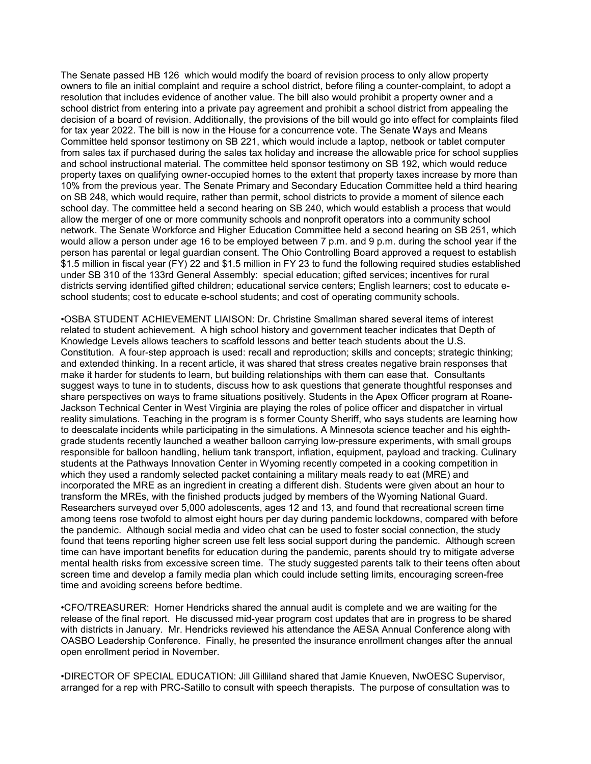The Senate passed HB 126 which would modify the board of revision process to only allow property owners to file an initial complaint and require a school district, before filing a counter-complaint, to adopt a resolution that includes evidence of another value. The bill also would prohibit a property owner and a school district from entering into a private pay agreement and prohibit a school district from appealing the decision of a board of revision. Additionally, the provisions of the bill would go into effect for complaints filed for tax year 2022. The bill is now in the House for a concurrence vote. The Senate Ways and Means Committee held sponsor testimony on SB 221, which would include a laptop, netbook or tablet computer from sales tax if purchased during the sales tax holiday and increase the allowable price for school supplies and school instructional material. The committee held sponsor testimony on SB 192, which would reduce property taxes on qualifying owner-occupied homes to the extent that property taxes increase by more than 10% from the previous year. The Senate Primary and Secondary Education Committee held a third hearing on SB 248, which would require, rather than permit, school districts to provide a moment of silence each school day. The committee held a second hearing on SB 240, which would establish a process that would allow the merger of one or more community schools and nonprofit operators into a community school network. The Senate Workforce and Higher Education Committee held a second hearing on SB 251, which would allow a person under age 16 to be employed between 7 p.m. and 9 p.m. during the school year if the person has parental or legal guardian consent. The Ohio Controlling Board approved a request to establish \$1.5 million in fiscal year (FY) 22 and \$1.5 million in FY 23 to fund the following required studies established under SB 310 of the 133rd General Assembly: special education; gifted services; incentives for rural districts serving identified gifted children; educational service centers; English learners; cost to educate eschool students; cost to educate e-school students; and cost of operating community schools.

•OSBA STUDENT ACHIEVEMENT LIAISON: Dr. Christine Smallman shared several items of interest related to student achievement. A high school history and government teacher indicates that Depth of Knowledge Levels allows teachers to scaffold lessons and better teach students about the U.S. Constitution. A four-step approach is used: recall and reproduction; skills and concepts; strategic thinking; and extended thinking. In a recent article, it was shared that stress creates negative brain responses that make it harder for students to learn, but building relationships with them can ease that. Consultants suggest ways to tune in to students, discuss how to ask questions that generate thoughtful responses and share perspectives on ways to frame situations positively. Students in the Apex Officer program at Roane-Jackson Technical Center in West Virginia are playing the roles of police officer and dispatcher in virtual reality simulations. Teaching in the program is s former County Sheriff, who says students are learning how to deescalate incidents while participating in the simulations. A Minnesota science teacher and his eighthgrade students recently launched a weather balloon carrying low-pressure experiments, with small groups responsible for balloon handling, helium tank transport, inflation, equipment, payload and tracking. Culinary students at the Pathways Innovation Center in Wyoming recently competed in a cooking competition in which they used a randomly selected packet containing a military meals ready to eat (MRE) and incorporated the MRE as an ingredient in creating a different dish. Students were given about an hour to transform the MREs, with the finished products judged by members of the Wyoming National Guard. Researchers surveyed over 5,000 adolescents, ages 12 and 13, and found that recreational screen time among teens rose twofold to almost eight hours per day during pandemic lockdowns, compared with before the pandemic. Although social media and video chat can be used to foster social connection, the study found that teens reporting higher screen use felt less social support during the pandemic. Although screen time can have important benefits for education during the pandemic, parents should try to mitigate adverse mental health risks from excessive screen time. The study suggested parents talk to their teens often about screen time and develop a family media plan which could include setting limits, encouraging screen-free time and avoiding screens before bedtime.

•CFO/TREASURER: Homer Hendricks shared the annual audit is complete and we are waiting for the release of the final report. He discussed mid-year program cost updates that are in progress to be shared with districts in January. Mr. Hendricks reviewed his attendance the AESA Annual Conference along with OASBO Leadership Conference. Finally, he presented the insurance enrollment changes after the annual open enrollment period in November.

•DIRECTOR OF SPECIAL EDUCATION: Jill Gilliland shared that Jamie Knueven, NwOESC Supervisor, arranged for a rep with PRC-Satillo to consult with speech therapists. The purpose of consultation was to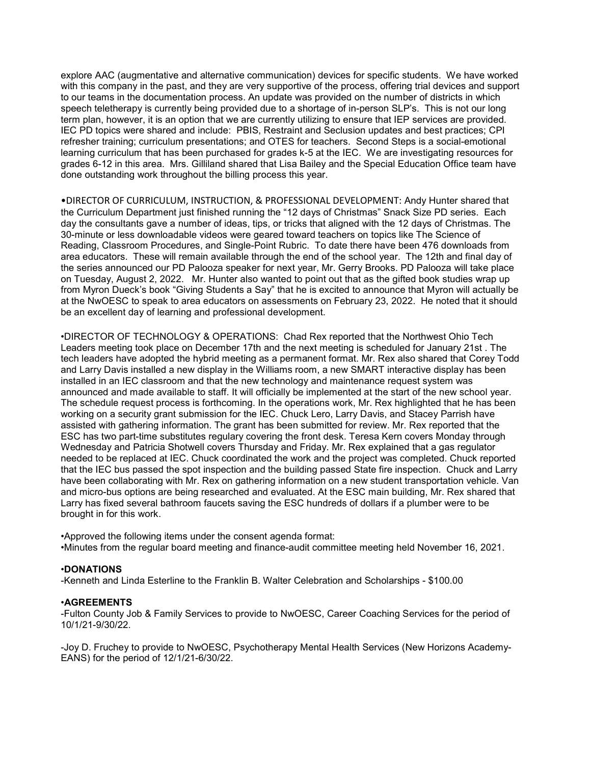explore AAC (augmentative and alternative communication) devices for specific students. We have worked with this company in the past, and they are very supportive of the process, offering trial devices and support to our teams in the documentation process. An update was provided on the number of districts in which speech teletherapy is currently being provided due to a shortage of in-person SLP's. This is not our long term plan, however, it is an option that we are currently utilizing to ensure that IEP services are provided. IEC PD topics were shared and include: PBIS, Restraint and Seclusion updates and best practices; CPI refresher training; curriculum presentations; and OTES for teachers. Second Steps is a social-emotional learning curriculum that has been purchased for grades k-5 at the IEC. We are investigating resources for grades 6-12 in this area. Mrs. Gilliland shared that Lisa Bailey and the Special Education Office team have done outstanding work throughout the billing process this year.

•DIRECTOR OF CURRICULUM, INSTRUCTION, & PROFESSIONAL DEVELOPMENT: Andy Hunter shared that the Curriculum Department just finished running the "12 days of Christmas" Snack Size PD series. Each day the consultants gave a number of ideas, tips, or tricks that aligned with the 12 days of Christmas. The 30-minute or less downloadable videos were geared toward teachers on topics like The Science of Reading, Classroom Procedures, and Single-Point Rubric. To date there have been 476 downloads from area educators. These will remain available through the end of the school year. The 12th and final day of the series announced our PD Palooza speaker for next year, Mr. Gerry Brooks. PD Palooza will take place on Tuesday, August 2, 2022. Mr. Hunter also wanted to point out that as the gifted book studies wrap up from Myron Dueck's book "Giving Students a Say" that he is excited to announce that Myron will actually be at the NwOESC to speak to area educators on assessments on February 23, 2022. He noted that it should be an excellent day of learning and professional development.

•DIRECTOR OF TECHNOLOGY & OPERATIONS: Chad Rex reported that the Northwest Ohio Tech Leaders meeting took place on December 17th and the next meeting is scheduled for January 21st . The tech leaders have adopted the hybrid meeting as a permanent format. Mr. Rex also shared that Corey Todd and Larry Davis installed a new display in the Williams room, a new SMART interactive display has been installed in an IEC classroom and that the new technology and maintenance request system was announced and made available to staff. It will officially be implemented at the start of the new school year. The schedule request process is forthcoming. In the operations work, Mr. Rex highlighted that he has been working on a security grant submission for the IEC. Chuck Lero, Larry Davis, and Stacey Parrish have assisted with gathering information. The grant has been submitted for review. Mr. Rex reported that the ESC has two part-time substitutes regulary covering the front desk. Teresa Kern covers Monday through Wednesday and Patricia Shotwell covers Thursday and Friday. Mr. Rex explained that a gas regulator needed to be replaced at IEC. Chuck coordinated the work and the project was completed. Chuck reported that the IEC bus passed the spot inspection and the building passed State fire inspection. Chuck and Larry have been collaborating with Mr. Rex on gathering information on a new student transportation vehicle. Van and micro-bus options are being researched and evaluated. At the ESC main building, Mr. Rex shared that Larry has fixed several bathroom faucets saving the ESC hundreds of dollars if a plumber were to be brought in for this work.

•Approved the following items under the consent agenda format: •Minutes from the regular board meeting and finance-audit committee meeting held November 16, 2021.

## •DONATIONS

-Kenneth and Linda Esterline to the Franklin B. Walter Celebration and Scholarships - \$100.00

#### •AGREEMENTS

-Fulton County Job & Family Services to provide to NwOESC, Career Coaching Services for the period of 10/1/21-9/30/22.

-Joy D. Fruchey to provide to NwOESC, Psychotherapy Mental Health Services (New Horizons Academy-EANS) for the period of 12/1/21-6/30/22.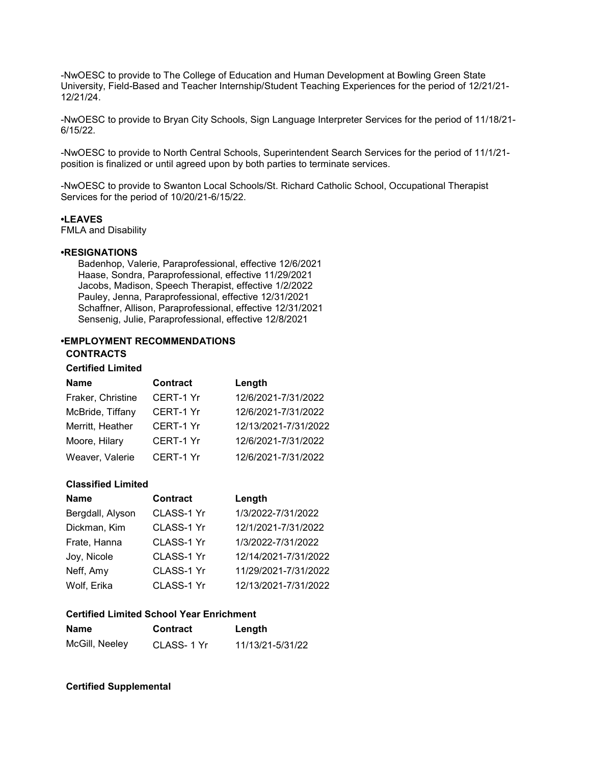-NwOESC to provide to The College of Education and Human Development at Bowling Green State University, Field-Based and Teacher Internship/Student Teaching Experiences for the period of 12/21/21- 12/21/24.

-NwOESC to provide to Bryan City Schools, Sign Language Interpreter Services for the period of 11/18/21- 6/15/22.

-NwOESC to provide to North Central Schools, Superintendent Search Services for the period of 11/1/21 position is finalized or until agreed upon by both parties to terminate services.

-NwOESC to provide to Swanton Local Schools/St. Richard Catholic School, Occupational Therapist Services for the period of 10/20/21-6/15/22.

### •LEAVES

FMLA and Disability

#### •RESIGNATIONS

 Badenhop, Valerie, Paraprofessional, effective 12/6/2021 Haase, Sondra, Paraprofessional, effective 11/29/2021 Jacobs, Madison, Speech Therapist, effective 1/2/2022 Pauley, Jenna, Paraprofessional, effective 12/31/2021 Schaffner, Allison, Paraprofessional, effective 12/31/2021 Sensenig, Julie, Paraprofessional, effective 12/8/2021

# •EMPLOYMENT RECOMMENDATIONS

## **CONTRACTS**

## Certified Limited

| <b>Name</b>       | <b>Contract</b>  | Length               |
|-------------------|------------------|----------------------|
| Fraker, Christine | CERT-1 Yr        | 12/6/2021-7/31/2022  |
| McBride, Tiffany  | <b>CERT-1 Yr</b> | 12/6/2021-7/31/2022  |
| Merritt, Heather  | CERT-1 Yr        | 12/13/2021-7/31/2022 |
| Moore, Hilary     | CERT-1 Yr        | 12/6/2021-7/31/2022  |
| Weaver, Valerie   | CERT-1 Yr        | 12/6/2021-7/31/2022  |

### Classified Limited

| <b>Name</b>      | <b>Contract</b> | Length               |
|------------------|-----------------|----------------------|
| Bergdall, Alyson | CLASS-1 Yr      | 1/3/2022-7/31/2022   |
| Dickman, Kim     | CLASS-1 Yr      | 12/1/2021-7/31/2022  |
| Frate, Hanna     | CLASS-1 Yr      | 1/3/2022-7/31/2022   |
| Joy, Nicole      | CLASS-1 Yr      | 12/14/2021-7/31/2022 |
| Neff, Amy        | CLASS-1 Yr      | 11/29/2021-7/31/2022 |
| Wolf, Erika      | CLASS-1 Yr      | 12/13/2021-7/31/2022 |

## Certified Limited School Year Enrichment

| <b>Name</b>    | Contract    | Length           |
|----------------|-------------|------------------|
| McGill, Neeley | CLASS- 1 Yr | 11/13/21-5/31/22 |

## Certified Supplemental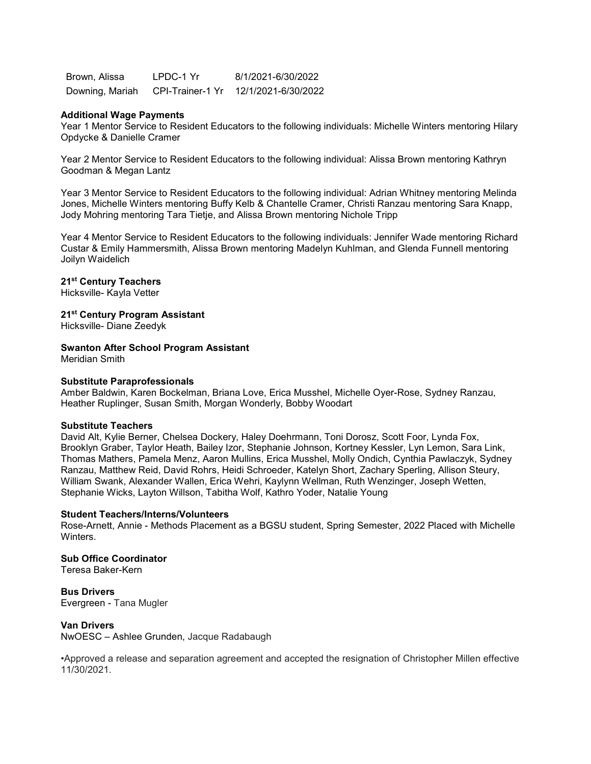Brown, Alissa LPDC-1 Yr 8/1/2021-6/30/2022 Downing, Mariah CPI-Trainer-1 Yr 12/1/2021-6/30/2022

#### Additional Wage Payments

Year 1 Mentor Service to Resident Educators to the following individuals: Michelle Winters mentoring Hilary Opdycke & Danielle Cramer

Year 2 Mentor Service to Resident Educators to the following individual: Alissa Brown mentoring Kathryn Goodman & Megan Lantz

Year 3 Mentor Service to Resident Educators to the following individual: Adrian Whitney mentoring Melinda Jones, Michelle Winters mentoring Buffy Kelb & Chantelle Cramer, Christi Ranzau mentoring Sara Knapp, Jody Mohring mentoring Tara Tietje, and Alissa Brown mentoring Nichole Tripp

Year 4 Mentor Service to Resident Educators to the following individuals: Jennifer Wade mentoring Richard Custar & Emily Hammersmith, Alissa Brown mentoring Madelyn Kuhlman, and Glenda Funnell mentoring Joilyn Waidelich

## 21<sup>st</sup> Century Teachers

Hicksville- Kayla Vetter

## 21<sup>st</sup> Century Program Assistant

Hicksville- Diane Zeedyk

#### Swanton After School Program Assistant

Meridian Smith

## Substitute Paraprofessionals

Amber Baldwin, Karen Bockelman, Briana Love, Erica Musshel, Michelle Oyer-Rose, Sydney Ranzau, Heather Ruplinger, Susan Smith, Morgan Wonderly, Bobby Woodart

#### Substitute Teachers

David Alt, Kylie Berner, Chelsea Dockery, Haley Doehrmann, Toni Dorosz, Scott Foor, Lynda Fox, Brooklyn Graber, Taylor Heath, Bailey Izor, Stephanie Johnson, Kortney Kessler, Lyn Lemon, Sara Link, Thomas Mathers, Pamela Menz, Aaron Mullins, Erica Musshel, Molly Ondich, Cynthia Pawlaczyk, Sydney Ranzau, Matthew Reid, David Rohrs, Heidi Schroeder, Katelyn Short, Zachary Sperling, Allison Steury, William Swank, Alexander Wallen, Erica Wehri, Kaylynn Wellman, Ruth Wenzinger, Joseph Wetten, Stephanie Wicks, Layton Willson, Tabitha Wolf, Kathro Yoder, Natalie Young

#### Student Teachers/Interns/Volunteers

Rose-Arnett, Annie - Methods Placement as a BGSU student, Spring Semester, 2022 Placed with Michelle **Winters** 

#### Sub Office Coordinator Teresa Baker-Kern

Bus Drivers

Evergreen - Tana Mugler

## Van Drivers

NwOESC – Ashlee Grunden, Jacque Radabaugh

•Approved a release and separation agreement and accepted the resignation of Christopher Millen effective 11/30/2021.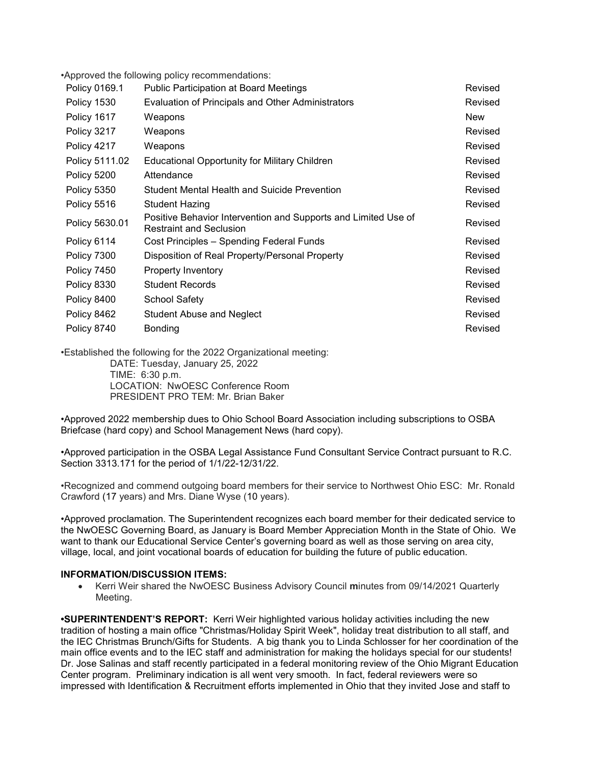•Approved the following policy recommendations:

| Policy 0169.1  | <b>Public Participation at Board Meetings</b>                                                    | Revised    |
|----------------|--------------------------------------------------------------------------------------------------|------------|
| Policy 1530    | <b>Evaluation of Principals and Other Administrators</b>                                         | Revised    |
| Policy 1617    | Weapons                                                                                          | <b>New</b> |
| Policy 3217    | Weapons                                                                                          | Revised    |
| Policy 4217    | Weapons                                                                                          | Revised    |
| Policy 5111.02 | <b>Educational Opportunity for Military Children</b>                                             | Revised    |
| Policy 5200    | Attendance                                                                                       | Revised    |
| Policy 5350    | Student Mental Health and Suicide Prevention                                                     | Revised    |
| Policy 5516    | Student Hazing                                                                                   | Revised    |
| Policy 5630.01 | Positive Behavior Intervention and Supports and Limited Use of<br><b>Restraint and Seclusion</b> | Revised    |
| Policy 6114    | Cost Principles - Spending Federal Funds                                                         | Revised    |
| Policy 7300    | Disposition of Real Property/Personal Property                                                   | Revised    |
| Policy 7450    | Property Inventory                                                                               | Revised    |
| Policy 8330    | <b>Student Records</b>                                                                           | Revised    |
| Policy 8400    | <b>School Safety</b>                                                                             | Revised    |
| Policy 8462    | <b>Student Abuse and Neglect</b>                                                                 | Revised    |
| Policy 8740    | Bonding                                                                                          | Revised    |

•Established the following for the 2022 Organizational meeting: DATE: Tuesday, January 25, 2022 TIME: 6:30 p.m. LOCATION: NwOESC Conference Room PRESIDENT PRO TEM: Mr. Brian Baker

•Approved 2022 membership dues to Ohio School Board Association including subscriptions to OSBA Briefcase (hard copy) and School Management News (hard copy).

•Approved participation in the OSBA Legal Assistance Fund Consultant Service Contract pursuant to R.C. Section 3313.171 for the period of 1/1/22-12/31/22.

•Recognized and commend outgoing board members for their service to Northwest Ohio ESC: Mr. Ronald Crawford (17 years) and Mrs. Diane Wyse (10 years).

•Approved proclamation. The Superintendent recognizes each board member for their dedicated service to the NwOESC Governing Board, as January is Board Member Appreciation Month in the State of Ohio. We want to thank our Educational Service Center's governing board as well as those serving on area city, village, local, and joint vocational boards of education for building the future of public education.

## INFORMATION/DISCUSSION ITEMS:

• Kerri Weir shared the NwOESC Business Advisory Council minutes from 09/14/2021 Quarterly Meeting.

•SUPERINTENDENT'S REPORT: Kerri Weir highlighted various holiday activities including the new tradition of hosting a main office "Christmas/Holiday Spirit Week", holiday treat distribution to all staff, and the IEC Christmas Brunch/Gifts for Students. A big thank you to Linda Schlosser for her coordination of the main office events and to the IEC staff and administration for making the holidays special for our students! Dr. Jose Salinas and staff recently participated in a federal monitoring review of the Ohio Migrant Education Center program. Preliminary indication is all went very smooth. In fact, federal reviewers were so impressed with Identification & Recruitment efforts implemented in Ohio that they invited Jose and staff to